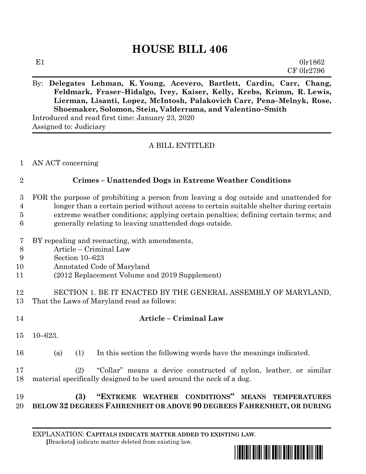# **HOUSE BILL 406**

## By: **Delegates Lehman, K. Young, Acevero, Bartlett, Cardin, Carr, Chang, Feldmark, Fraser–Hidalgo, Ivey, Kaiser, Kelly, Krebs, Krimm, R. Lewis, Lierman, Lisanti, Lopez, McIntosh, Palakovich Carr, Pena–Melnyk, Rose, Shoemaker, Solomon, Stein, Valderrama, and Valentino–Smith**

Introduced and read first time: January 23, 2020 Assigned to: Judiciary

#### A BILL ENTITLED

AN ACT concerning

#### **Crimes – Unattended Dogs in Extreme Weather Conditions**

- FOR the purpose of prohibiting a person from leaving a dog outside and unattended for longer than a certain period without access to certain suitable shelter during certain extreme weather conditions; applying certain penalties; defining certain terms; and generally relating to leaving unattended dogs outside.
- BY repealing and reenacting, with amendments,
- Article Criminal Law
- Section 10–623
- Annotated Code of Maryland
- (2012 Replacement Volume and 2019 Supplement)
- SECTION 1. BE IT ENACTED BY THE GENERAL ASSEMBLY OF MARYLAND, That the Laws of Maryland read as follows:
- 

## **Article – Criminal Law**

- 10–623.
- (a) (1) In this section the following words have the meanings indicated.
- (2) "Collar" means a device constructed of nylon, leather, or similar material specifically designed to be used around the neck of a dog.

### **(3) "EXTREME WEATHER CONDITIONS" MEANS TEMPERATURES BELOW 32 DEGREES FAHRENHEIT OR ABOVE 90 DEGREES FAHRENHEIT, OR DURING**

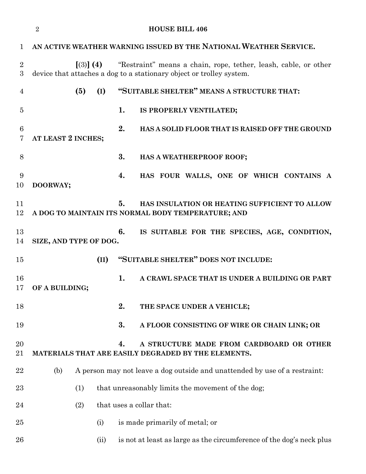|                     | $\overline{2}$<br><b>HOUSE BILL 406</b>                                                               |                                                                                                                                                      |      |                                                                                                     |  |
|---------------------|-------------------------------------------------------------------------------------------------------|------------------------------------------------------------------------------------------------------------------------------------------------------|------|-----------------------------------------------------------------------------------------------------|--|
| 1                   | AN ACTIVE WEATHER WARNING ISSUED BY THE NATIONAL WEATHER SERVICE.                                     |                                                                                                                                                      |      |                                                                                                     |  |
| $\overline{2}$<br>3 |                                                                                                       | "Restraint" means a chain, rope, tether, leash, cable, or other<br>$(3)$ (4)<br>device that attaches a dog to a stationary object or trolley system. |      |                                                                                                     |  |
| $\overline{4}$      |                                                                                                       | (5)<br>(I)                                                                                                                                           |      | "SUITABLE SHELTER" MEANS A STRUCTURE THAT:                                                          |  |
| 5                   |                                                                                                       |                                                                                                                                                      | 1.   | IS PROPERLY VENTILATED;                                                                             |  |
| 6<br>7              | AT LEAST 2 INCHES;                                                                                    |                                                                                                                                                      | 2.   | HAS A SOLID FLOOR THAT IS RAISED OFF THE GROUND                                                     |  |
| 8                   |                                                                                                       |                                                                                                                                                      | 3.   | HAS A WEATHERPROOF ROOF;                                                                            |  |
| 9<br>10             | DOORWAY;                                                                                              |                                                                                                                                                      | 4.   | HAS FOUR WALLS, ONE OF WHICH CONTAINS A                                                             |  |
| 11<br>12            |                                                                                                       |                                                                                                                                                      | 5.   | HAS INSULATION OR HEATING SUFFICIENT TO ALLOW<br>A DOG TO MAINTAIN ITS NORMAL BODY TEMPERATURE; AND |  |
| 13<br>14            | 6.<br>IS SUITABLE FOR THE SPECIES, AGE, CONDITION,<br>SIZE, AND TYPE OF DOG.                          |                                                                                                                                                      |      |                                                                                                     |  |
| 15                  |                                                                                                       |                                                                                                                                                      | (II) | "SUITABLE SHELTER" DOES NOT INCLUDE:                                                                |  |
| 16<br>17            | OF A BUILDING;                                                                                        |                                                                                                                                                      | 1.   | A CRAWL SPACE THAT IS UNDER A BUILDING OR PART                                                      |  |
| 18                  |                                                                                                       |                                                                                                                                                      | 2.   | THE SPACE UNDER A VEHICLE;                                                                          |  |
| 19                  |                                                                                                       |                                                                                                                                                      | 3.   | A FLOOR CONSISTING OF WIRE OR CHAIN LINK; OR                                                        |  |
| 20<br>21            | 4.<br>A STRUCTURE MADE FROM CARDBOARD OR OTHER<br>MATERIALS THAT ARE EASILY DEGRADED BY THE ELEMENTS. |                                                                                                                                                      |      |                                                                                                     |  |
| 22                  | A person may not leave a dog outside and unattended by use of a restraint:<br>(b)                     |                                                                                                                                                      |      |                                                                                                     |  |
| 23                  |                                                                                                       | (1)                                                                                                                                                  |      | that unreasonably limits the movement of the dog;                                                   |  |
| 24                  | that uses a collar that:<br>(2)                                                                       |                                                                                                                                                      |      |                                                                                                     |  |
| 25                  |                                                                                                       | (i)                                                                                                                                                  |      | is made primarily of metal; or                                                                      |  |
| 26                  |                                                                                                       |                                                                                                                                                      | (ii) | is not at least as large as the circumference of the dog's neck plus                                |  |